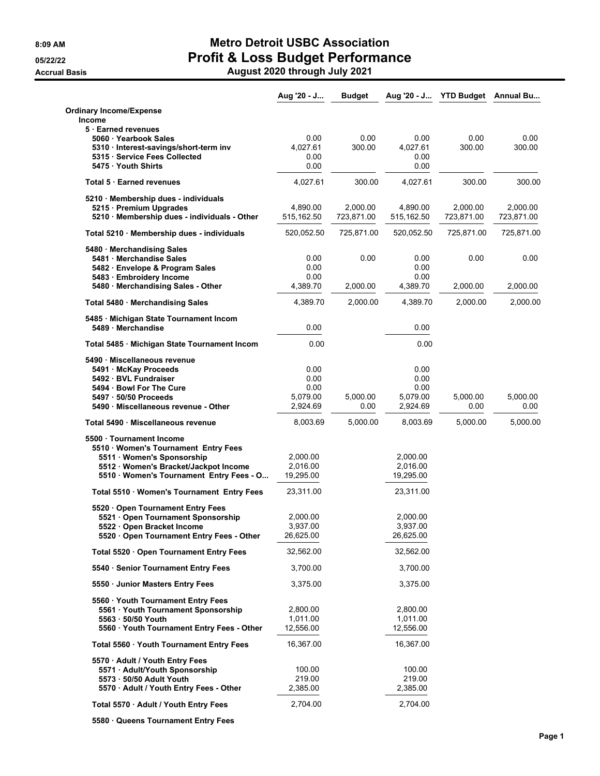|                                                                                                                                                                                 | Aug '20 - J                                  | <b>Budget</b>          | Aug '20 - J                                  |                        | <b>YTD Budget</b> Annual Bu |
|---------------------------------------------------------------------------------------------------------------------------------------------------------------------------------|----------------------------------------------|------------------------|----------------------------------------------|------------------------|-----------------------------|
| <b>Ordinary Income/Expense</b><br>Income                                                                                                                                        |                                              |                        |                                              |                        |                             |
| 5 Earned revenues<br>5060 · Yearbook Sales<br>5310 · Interest-savings/short-term inv<br>5315 · Service Fees Collected<br>5475 Youth Shirts                                      | 0.00<br>4,027.61<br>0.00<br>0.00             | 0.00<br>300.00         | 0.00<br>4,027.61<br>0.00<br>0.00             | 0.00<br>300.00         | 0.00<br>300.00              |
| Total 5 Earned revenues                                                                                                                                                         | 4,027.61                                     | 300.00                 | 4,027.61                                     | 300.00                 | 300.00                      |
| 5210 · Membership dues - individuals<br>5215 · Premium Upgrades<br>5210 · Membership dues - individuals - Other                                                                 | 4,890.00<br>515,162.50                       | 2,000.00<br>723,871.00 | 4,890.00<br>515,162.50                       | 2,000.00<br>723,871.00 | 2,000.00<br>723,871.00      |
| Total 5210 Membership dues - individuals                                                                                                                                        | 520,052.50                                   | 725,871.00             | 520,052.50                                   | 725,871.00             | 725,871.00                  |
| 5480 · Merchandising Sales<br>5481 · Merchandise Sales<br>5482 · Envelope & Program Sales<br>5483 · Embroidery Income<br>5480 · Merchandising Sales - Other                     | 0.00<br>0.00<br>0.00<br>4.389.70             | 0.00<br>2,000.00       | 0.00<br>0.00<br>0.00<br>4,389.70             | 0.00<br>2,000.00       | 0.00<br>2,000.00            |
| Total 5480 · Merchandising Sales                                                                                                                                                | 4,389.70                                     | 2,000.00               | 4,389.70                                     | 2,000.00               | 2,000.00                    |
| 5485 · Michigan State Tournament Incom<br>5489 · Merchandise                                                                                                                    | 0.00                                         |                        | 0.00                                         |                        |                             |
| Total 5485 · Michigan State Tournament Incom                                                                                                                                    | 0.00                                         |                        | 0.00                                         |                        |                             |
| 5490 · Miscellaneous revenue<br>5491 · McKay Proceeds<br>5492 · BVL Fundraiser<br>5494 · Bowl For The Cure<br>5497 · 50/50 Proceeds<br>5490 · Miscellaneous revenue - Other     | 0.00<br>0.00<br>0.00<br>5,079.00<br>2,924.69 | 5,000.00<br>0.00       | 0.00<br>0.00<br>0.00<br>5,079.00<br>2,924.69 | 5,000.00<br>0.00       | 5,000.00<br>0.00            |
| Total 5490 Miscellaneous revenue                                                                                                                                                | 8,003.69                                     | 5,000.00               | 8,003.69                                     | 5,000.00               | 5,000.00                    |
| 5500 Tournament Income<br>5510 · Women's Tournament Entry Fees<br>5511 Women's Sponsorship<br>5512 · Women's Bracket/Jackpot Income<br>5510 · Women's Tournament Entry Fees - O | 2,000.00<br>2,016.00<br>19,295.00            |                        | 2,000.00<br>2,016.00<br>19,295.00            |                        |                             |
| Total 5510 · Women's Tournament Entry Fees                                                                                                                                      | 23,311.00                                    |                        | 23,311.00                                    |                        |                             |
| 5520 · Open Tournament Entry Fees<br>5521 Open Tournament Sponsorship<br>5522 · Open Bracket Income<br>5520 Open Tournament Entry Fees - Other                                  | 2,000.00<br>3,937.00<br>26,625.00            |                        | 2,000.00<br>3,937.00<br>26,625.00            |                        |                             |
| Total 5520 · Open Tournament Entry Fees                                                                                                                                         | 32,562.00                                    |                        | 32,562.00                                    |                        |                             |
| 5540 · Senior Tournament Entry Fees                                                                                                                                             | 3,700.00                                     |                        | 3,700.00                                     |                        |                             |
| 5550 Junior Masters Entry Fees                                                                                                                                                  | 3,375.00                                     |                        | 3,375.00                                     |                        |                             |
| 5560 · Youth Tournament Entry Fees<br>5561 Youth Tournament Sponsorship<br>5563 · 50/50 Youth<br>5560 Youth Tournament Entry Fees - Other                                       | 2,800.00<br>1,011.00<br>12,556.00            |                        | 2,800.00<br>1,011.00<br>12,556.00            |                        |                             |
| Total 5560 · Youth Tournament Entry Fees                                                                                                                                        | 16,367.00                                    |                        | 16,367.00                                    |                        |                             |
| 5570 · Adult / Youth Entry Fees<br>5571 · Adult/Youth Sponsorship<br>5573 - 50/50 Adult Youth<br>5570 · Adult / Youth Entry Fees - Other                                        | 100.00<br>219.00<br>2,385.00                 |                        | 100.00<br>219.00<br>2,385.00                 |                        |                             |
| Total 5570 · Adult / Youth Entry Fees                                                                                                                                           | 2,704.00                                     |                        | 2,704.00                                     |                        |                             |

**5580 · Queens Tournament Entry Fees**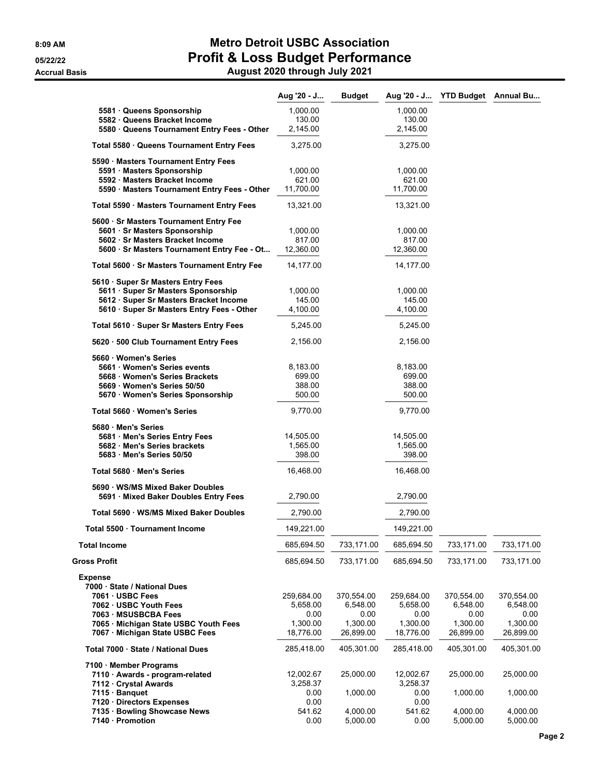|                                                                           | Aug '20 - J           | <b>Budget</b>        | Aug '20 - J           | <b>YTD Budget</b> Annual Bu |                      |
|---------------------------------------------------------------------------|-----------------------|----------------------|-----------------------|-----------------------------|----------------------|
| 5581 Queens Sponsorship                                                   | 1,000.00              |                      | 1,000.00              |                             |                      |
| 5582 Queens Bracket Income<br>5580 Queens Tournament Entry Fees - Other   | 130.00<br>2,145.00    |                      | 130.00<br>2,145.00    |                             |                      |
| Total 5580 · Queens Tournament Entry Fees                                 | 3,275.00              |                      | 3,275.00              |                             |                      |
| 5590 · Masters Tournament Entry Fees                                      |                       |                      |                       |                             |                      |
| 5591 · Masters Sponsorship                                                | 1,000.00              |                      | 1,000.00              |                             |                      |
| 5592 Masters Bracket Income<br>5590 Masters Tournament Entry Fees - Other | 621.00<br>11,700.00   |                      | 621.00<br>11,700.00   |                             |                      |
| Total 5590 · Masters Tournament Entry Fees                                | 13,321.00             |                      | 13,321.00             |                             |                      |
|                                                                           |                       |                      |                       |                             |                      |
| 5600 · Sr Masters Tournament Entry Fee<br>5601 · Sr Masters Sponsorship   | 1,000.00              |                      | 1,000.00              |                             |                      |
| 5602 Sr Masters Bracket Income                                            | 817.00                |                      | 817.00                |                             |                      |
| 5600 · Sr Masters Tournament Entry Fee - Ot                               | 12,360.00             |                      | 12,360.00             |                             |                      |
| Total 5600 · Sr Masters Tournament Entry Fee                              | 14,177.00             |                      | 14,177.00             |                             |                      |
| 5610 · Super Sr Masters Entry Fees<br>5611 · Super Sr Masters Sponsorship | 1,000.00              |                      | 1,000.00              |                             |                      |
| 5612 · Super Sr Masters Bracket Income                                    | 145.00                |                      | 145.00                |                             |                      |
| 5610 · Super Sr Masters Entry Fees - Other                                | 4,100.00              |                      | 4,100.00              |                             |                      |
| Total 5610 · Super Sr Masters Entry Fees                                  | 5,245.00              |                      | 5,245.00              |                             |                      |
| 5620 · 500 Club Tournament Entry Fees                                     | 2,156.00              |                      | 2,156.00              |                             |                      |
| 5660 Women's Series                                                       |                       |                      |                       |                             |                      |
| 5661 Women's Series events<br>5668 Women's Series Brackets                | 8,183.00<br>699.00    |                      | 8,183.00<br>699.00    |                             |                      |
| 5669 Women's Series 50/50                                                 | 388.00                |                      | 388.00                |                             |                      |
| 5670 · Women's Series Sponsorship                                         | 500.00                |                      | 500.00                |                             |                      |
| Total 5660 · Women's Series                                               | 9,770.00              |                      | 9,770.00              |                             |                      |
| 5680 Men's Series                                                         |                       |                      |                       |                             |                      |
| 5681 · Men's Series Entry Fees<br>5682 Men's Series brackets              | 14,505.00<br>1,565.00 |                      | 14,505.00<br>1,565.00 |                             |                      |
| 5683 Men's Series 50/50                                                   | 398.00                |                      | 398.00                |                             |                      |
| Total 5680 Men's Series                                                   | 16,468.00             |                      | 16,468.00             |                             |                      |
| 5690 · WS/MS Mixed Baker Doubles<br>5691 · Mixed Baker Doubles Entry Fees | 2,790.00              |                      | 2,790.00              |                             |                      |
| Total 5690 · WS/MS Mixed Baker Doubles                                    | 2,790.00              |                      | 2,790.00              |                             |                      |
| Total 5500 · Tournament Income                                            | 149,221.00            |                      | 149,221.00            |                             |                      |
| <b>Total Income</b>                                                       | 685,694.50            | 733,171.00           | 685,694.50            | 733,171.00                  | 733,171.00           |
| <b>Gross Profit</b>                                                       | 685,694.50            | 733,171.00           | 685,694.50            | 733,171.00                  | 733,171.00           |
| <b>Expense</b>                                                            |                       |                      |                       |                             |                      |
| 7000 · State / National Dues                                              |                       |                      |                       |                             |                      |
| 7061 · USBC Fees                                                          | 259,684.00            | 370,554.00           | 259,684.00            | 370,554.00                  | 370,554.00           |
| 7062 USBC Youth Fees<br>7063 MSUSBCBA Fees                                | 5,658.00<br>0.00      | 6,548.00<br>0.00     | 5,658.00<br>0.00      | 6,548.00<br>0.00            | 6,548.00<br>0.00     |
| 7065 · Michigan State USBC Youth Fees                                     | 1,300.00              | 1,300.00             | 1,300.00              | 1,300.00                    | 1,300.00             |
| 7067 · Michigan State USBC Fees                                           | 18,776.00             | 26,899.00            | 18,776.00             | 26,899.00                   | 26,899.00            |
| Total 7000 · State / National Dues                                        | 285,418.00            | 405,301.00           | 285,418.00            | 405,301.00                  | 405,301.00           |
| 7100 Member Programs                                                      |                       |                      |                       |                             |                      |
| 7110 · Awards - program-related<br>7112 · Crystal Awards                  | 12,002.67<br>3,258.37 | 25,000.00            | 12,002.67<br>3,258.37 | 25,000.00                   | 25,000.00            |
| 7115 · Banquet                                                            | 0.00                  | 1,000.00             | 0.00                  | 1,000.00                    | 1,000.00             |
| 7120 Directors Expenses                                                   | 0.00                  |                      | 0.00                  |                             |                      |
| 7135 · Bowling Showcase News<br>7140 · Promotion                          | 541.62<br>0.00        | 4,000.00<br>5,000.00 | 541.62<br>0.00        | 4,000.00<br>5,000.00        | 4,000.00<br>5,000.00 |
|                                                                           |                       |                      |                       |                             |                      |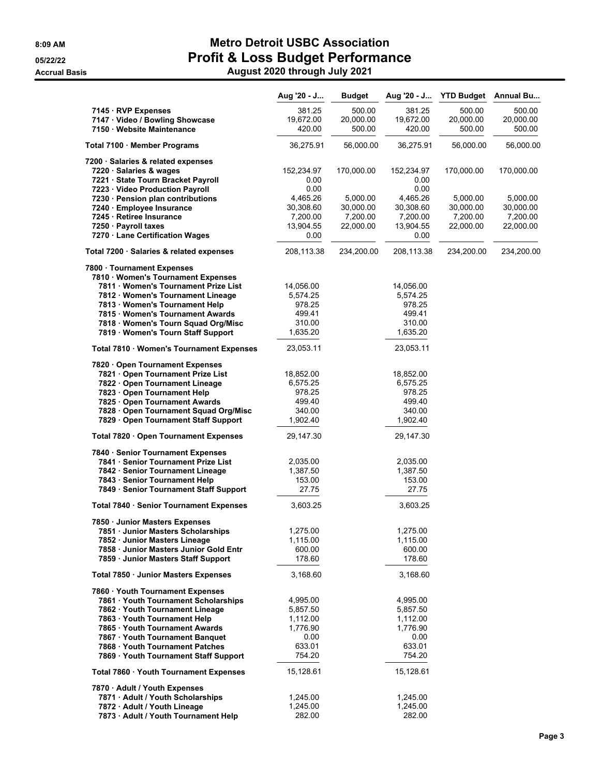|                                                                        | Aug '20 - J          | <b>Budget</b> | Aug '20 - J          | <b>YTD Budget</b> | Annual Bu  |
|------------------------------------------------------------------------|----------------------|---------------|----------------------|-------------------|------------|
| 7145 · RVP Expenses                                                    | 381.25               | 500.00        | 381.25               | 500.00            | 500.00     |
| 7147 Video / Bowling Showcase                                          | 19,672.00            | 20,000.00     | 19,672.00            | 20,000.00         | 20,000.00  |
| 7150 Website Maintenance                                               | 420.00               | 500.00        | 420.00               | 500.00            | 500.00     |
|                                                                        |                      | 56,000.00     | 36,275.91            |                   | 56,000.00  |
| Total 7100 · Member Programs                                           | 36,275.91            |               |                      | 56,000.00         |            |
| 7200 · Salaries & related expenses                                     |                      |               |                      |                   |            |
| 7220 · Salaries & wages                                                | 152,234.97           | 170,000.00    | 152,234.97           | 170,000.00        | 170,000.00 |
| 7221 · State Tourn Bracket Payroll                                     | 0.00<br>0.00         |               | 0.00<br>0.00         |                   |            |
| 7223 · Video Production Payroll<br>7230 · Pension plan contributions   | 4,465.26             | 5,000.00      | 4,465.26             | 5,000.00          | 5,000.00   |
| 7240 · Employee Insurance                                              | 30,308.60            | 30,000.00     | 30,308.60            | 30,000.00         | 30,000.00  |
| 7245 · Retiree Insurance                                               | 7,200.00             | 7,200.00      | 7,200.00             | 7,200.00          | 7,200.00   |
| 7250 · Payroll taxes                                                   | 13,904.55            | 22,000.00     | 13,904.55            | 22,000.00         | 22,000.00  |
| 7270 · Lane Certification Wages                                        | 0.00                 |               | 0.00                 |                   |            |
| Total 7200 · Salaries & related expenses                               | 208,113.38           | 234,200.00    | 208,113.38           | 234,200.00        | 234,200.00 |
| 7800 · Tournament Expenses                                             |                      |               |                      |                   |            |
| 7810 · Women's Tournament Expenses                                     |                      |               |                      |                   |            |
| 7811 Women's Tournament Prize List                                     | 14,056.00            |               | 14,056.00            |                   |            |
| 7812 · Women's Tournament Lineage                                      | 5,574.25             |               | 5,574.25             |                   |            |
| 7813 Women's Tournament Help                                           | 978.25               |               | 978.25               |                   |            |
| 7815 Women's Tournament Awards                                         | 499.41               |               | 499.41               |                   |            |
| 7818 · Women's Tourn Squad Org/Misc                                    | 310.00               |               | 310.00               |                   |            |
| 7819 · Women's Tourn Staff Support                                     | 1,635.20             |               | 1,635.20             |                   |            |
| Total 7810 · Women's Tournament Expenses                               | 23,053.11            |               | 23,053.11            |                   |            |
| 7820 Open Tournament Expenses                                          |                      |               |                      |                   |            |
| 7821 Open Tournament Prize List                                        | 18,852.00            |               | 18,852.00            |                   |            |
| 7822 · Open Tournament Lineage                                         | 6,575.25             |               | 6,575.25             |                   |            |
| 7823 · Open Tournament Help                                            | 978.25               |               | 978.25               |                   |            |
| 7825 Open Tournament Awards                                            | 499.40               |               | 499.40               |                   |            |
| 7828 · Open Tournament Squad Org/Misc                                  | 340.00               |               | 340.00               |                   |            |
| 7829 · Open Tournament Staff Support                                   | 1,902.40             |               | 1,902.40             |                   |            |
| Total 7820 · Open Tournament Expenses                                  | 29,147.30            |               | 29,147.30            |                   |            |
| 7840 · Senior Tournament Expenses                                      |                      |               |                      |                   |            |
| 7841 · Senior Tournament Prize List                                    | 2,035.00             |               | 2,035.00             |                   |            |
| 7842 · Senior Tournament Lineage                                       | 1,387.50             |               | 1,387.50             |                   |            |
| 7843 · Senior Tournament Help                                          | 153.00               |               | 153.00<br>27.75      |                   |            |
| 7849 · Senior Tournament Staff Support                                 | 27.75                |               |                      |                   |            |
| Total 7840 · Senior Tournament Expenses                                | 3,603.25             |               | 3,603.25             |                   |            |
| 7850 · Junior Masters Expenses                                         |                      |               |                      |                   |            |
| 7851 · Junior Masters Scholarships                                     | 1,275.00             |               | 1,275.00             |                   |            |
| 7852 Junior Masters Lineage<br>7858 · Junior Masters Junior Gold Entr  | 1,115.00             |               | 1,115.00             |                   |            |
| 7859 Junior Masters Staff Support                                      | 600.00<br>178.60     |               | 600.00<br>178.60     |                   |            |
| Total 7850 · Junior Masters Expenses                                   | 3,168.60             |               | 3,168.60             |                   |            |
|                                                                        |                      |               |                      |                   |            |
| 7860 Youth Tournament Expenses<br>7861 · Youth Tournament Scholarships |                      |               |                      |                   |            |
| 7862 Youth Tournament Lineage                                          | 4,995.00<br>5,857.50 |               | 4,995.00<br>5,857.50 |                   |            |
| 7863 · Youth Tournament Help                                           | 1,112.00             |               | 1,112.00             |                   |            |
| 7865 Youth Tournament Awards                                           | 1,776.90             |               | 1,776.90             |                   |            |
| 7867 · Youth Tournament Banquet                                        | 0.00                 |               | 0.00                 |                   |            |
| 7868 Youth Tournament Patches                                          | 633.01               |               | 633.01               |                   |            |
| 7869 · Youth Tournament Staff Support                                  | 754.20               |               | 754.20               |                   |            |
| Total 7860 · Youth Tournament Expenses                                 | 15,128.61            |               | 15,128.61            |                   |            |
| 7870 · Adult / Youth Expenses                                          |                      |               |                      |                   |            |
| 7871 · Adult / Youth Scholarships                                      | 1,245.00             |               | 1,245.00             |                   |            |
| 7872 · Adult / Youth Lineage                                           | 1,245.00             |               | 1,245.00             |                   |            |
| 7873 · Adult / Youth Tournament Help                                   | 282.00               |               | 282.00               |                   |            |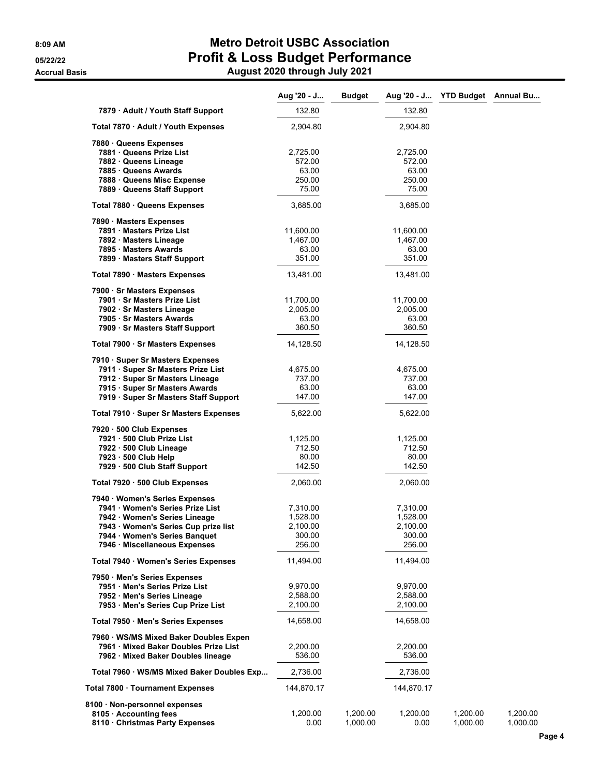|                                            | Aug '20 - J | <b>Budget</b> |            | Aug '20 - J YTD Budget Annual Bu |          |
|--------------------------------------------|-------------|---------------|------------|----------------------------------|----------|
| 7879 · Adult / Youth Staff Support         | 132.80      |               | 132.80     |                                  |          |
| Total 7870 · Adult / Youth Expenses        | 2,904.80    |               | 2,904.80   |                                  |          |
| 7880 Queens Expenses                       |             |               |            |                                  |          |
| 7881 Queens Prize List                     | 2,725.00    |               | 2,725.00   |                                  |          |
| 7882 · Queens Lineage                      | 572.00      |               | 572.00     |                                  |          |
| 7885 Queens Awards                         | 63.00       |               | 63.00      |                                  |          |
| 7888 · Queens Misc Expense                 | 250.00      |               | 250.00     |                                  |          |
| 7889 · Queens Staff Support                | 75.00       |               | 75.00      |                                  |          |
| Total 7880 Queens Expenses                 | 3,685.00    |               | 3,685.00   |                                  |          |
| 7890 · Masters Expenses                    |             |               |            |                                  |          |
| 7891 Masters Prize List                    | 11,600.00   |               | 11,600.00  |                                  |          |
| 7892 · Masters Lineage                     | 1,467.00    |               | 1,467.00   |                                  |          |
| 7895 Masters Awards                        | 63.00       |               | 63.00      |                                  |          |
| 7899 Masters Staff Support                 | 351.00      |               | 351.00     |                                  |          |
|                                            | 13,481.00   |               | 13,481.00  |                                  |          |
| Total 7890 · Masters Expenses              |             |               |            |                                  |          |
| 7900 · Sr Masters Expenses                 |             |               |            |                                  |          |
| 7901 · Sr Masters Prize List               | 11,700.00   |               | 11,700.00  |                                  |          |
| 7902 · Sr Masters Lineage                  | 2,005.00    |               | 2,005.00   |                                  |          |
| 7905 · Sr Masters Awards                   | 63.00       |               | 63.00      |                                  |          |
| 7909 · Sr Masters Staff Support            | 360.50      |               | 360.50     |                                  |          |
| Total 7900 · Sr Masters Expenses           | 14,128.50   |               | 14,128.50  |                                  |          |
| 7910 · Super Sr Masters Expenses           |             |               |            |                                  |          |
| 7911 · Super Sr Masters Prize List         | 4,675.00    |               | 4,675.00   |                                  |          |
| 7912 · Super Sr Masters Lineage            | 737.00      |               | 737.00     |                                  |          |
| 7915 · Super Sr Masters Awards             | 63.00       |               | 63.00      |                                  |          |
| 7919 · Super Sr Masters Staff Support      | 147.00      |               | 147.00     |                                  |          |
| Total 7910 · Super Sr Masters Expenses     | 5,622.00    |               | 5,622.00   |                                  |          |
| 7920 · 500 Club Expenses                   |             |               |            |                                  |          |
| 7921 · 500 Club Prize List                 | 1,125.00    |               | 1,125.00   |                                  |          |
| 7922 · 500 Club Lineage                    | 712.50      |               | 712.50     |                                  |          |
| 7923 · 500 Club Help                       | 80.00       |               | 80.00      |                                  |          |
| 7929 - 500 Club Staff Support              | 142.50      |               | 142.50     |                                  |          |
|                                            |             |               |            |                                  |          |
| Total 7920 · 500 Club Expenses             | 2,060.00    |               | 2,060.00   |                                  |          |
| 7940 · Women's Series Expenses             |             |               |            |                                  |          |
| 7941 Women's Series Prize List             | 7,310.00    |               | 7,310.00   |                                  |          |
| 7942 · Women's Series Lineage              | 1,528.00    |               | 1,528.00   |                                  |          |
| 7943 · Women's Series Cup prize list       | 2,100.00    |               | 2,100.00   |                                  |          |
| 7944 · Women's Series Banquet              | 300.00      |               | 300.00     |                                  |          |
| 7946 · Miscellaneous Expenses              | 256.00      |               | 256.00     |                                  |          |
|                                            |             |               |            |                                  |          |
| Total 7940 · Women's Series Expenses       | 11,494.00   |               | 11,494.00  |                                  |          |
| 7950 Men's Series Expenses                 |             |               |            |                                  |          |
| 7951 Men's Series Prize List               | 9,970.00    |               | 9,970.00   |                                  |          |
| 7952 Men's Series Lineage                  | 2,588.00    |               | 2,588.00   |                                  |          |
| 7953 · Men's Series Cup Prize List         | 2,100.00    |               | 2,100.00   |                                  |          |
| Total 7950 · Men's Series Expenses         | 14,658.00   |               | 14,658.00  |                                  |          |
|                                            |             |               |            |                                  |          |
| 7960 · WS/MS Mixed Baker Doubles Expen     |             |               |            |                                  |          |
| 7961 Mixed Baker Doubles Prize List        | 2,200.00    |               | 2,200.00   |                                  |          |
| 7962 · Mixed Baker Doubles lineage         | 536.00      |               | 536.00     |                                  |          |
| Total 7960 · WS/MS Mixed Baker Doubles Exp | 2,736.00    |               | 2,736.00   |                                  |          |
| Total 7800 Tournament Expenses             | 144,870.17  |               | 144,870.17 |                                  |          |
|                                            |             |               |            |                                  |          |
| 8100 · Non-personnel expenses              |             |               |            |                                  |          |
| 8105 Accounting fees                       | 1,200.00    | 1,200.00      | 1,200.00   | 1,200.00                         | 1,200.00 |
| 8110 Christmas Party Expenses              | 0.00        | 1,000.00      | 0.00       | 1,000.00                         | 1,000.00 |

**Page 4**